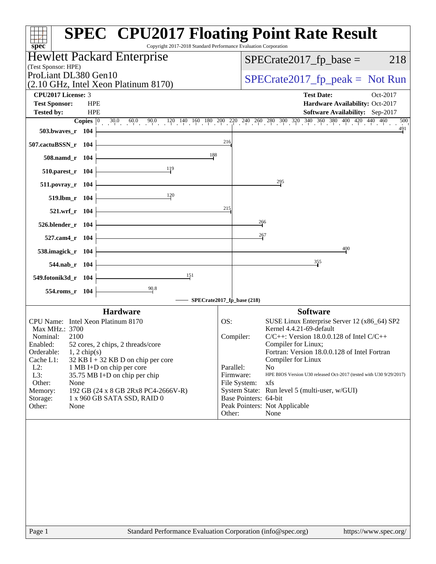| Hewlett Packard Enterprise<br>$SPECrate2017_fp\_base =$<br>(Test Sponsor: HPE)<br>ProLiant DL380 Gen10<br>(2.10 GHz, Intel Xeon Platinum 8170)<br><b>CPU2017 License: 3</b><br><b>Test Date:</b><br>Oct-2017<br><b>Test Sponsor:</b><br><b>HPE</b><br>Hardware Availability: Oct-2017<br><b>HPE</b><br>Software Availability: Sep-2017<br><b>Tested by:</b><br><b>Copies</b> $\begin{bmatrix} 0 & 30.0 & 60.0 & 90.0 & 120 & 140 & 160 & 180 & 200 & 220 & 240 & 260 & 300 & 320 & 340 & 360 & 380 & 400 & 420 & 440 & 460 \end{bmatrix}$<br>503.bwaves_r 104<br>216<br>507.cactuBSSN_r 104<br>188<br>508.namd_r 104<br>119<br>510.parest_r 104<br>295<br>511.povray_r 104<br>120<br>519.lbm_r 104<br>215<br>521.wrf_r 104<br>$\frac{266}{1}$<br>526.blender_r 104<br>267<br>527.cam4_r 104<br>400<br>538.imagick_r 104<br>355<br>544.nab r 104<br>$\frac{151}{2}$<br>549.fotonik3d_r 104<br>90.8<br>554.roms_r 104<br>SPECrate2017_fp_base (218)<br><b>Software</b><br><b>Hardware</b><br>CPU Name: Intel Xeon Platinum 8170<br>OS:<br>SUSE Linux Enterprise Server 12 (x86_64) SP2<br>Kernel 4.4.21-69-default<br>Max MHz.: 3700<br>$C/C++$ : Version 18.0.0.128 of Intel $C/C++$<br>Nominal:<br>Compiler:<br>2100<br>Compiler for Linux;<br>Enabled:<br>52 cores, 2 chips, 2 threads/core<br>Orderable:<br>Fortran: Version 18.0.0.128 of Intel Fortran<br>$1, 2$ chip(s)<br>Cache L1:<br>$32$ KB I + 32 KB D on chip per core<br>Compiler for Linux<br>Parallel:<br>No<br>$L2$ :<br>1 MB I+D on chip per core<br>L3:<br>35.75 MB I+D on chip per chip<br>Firmware:<br>xfs<br>Other:<br>File System:<br>None<br>Memory:<br>192 GB (24 x 8 GB 2Rx8 PC4-2666V-R)<br>System State: Run level 5 (multi-user, w/GUI) | spec <sup>®</sup> | <b>SPEC<sup>®</sup> CPU2017 Floating Point Rate Result</b><br>Copyright 2017-2018 Standard Performance Evaluation Corporation |
|--------------------------------------------------------------------------------------------------------------------------------------------------------------------------------------------------------------------------------------------------------------------------------------------------------------------------------------------------------------------------------------------------------------------------------------------------------------------------------------------------------------------------------------------------------------------------------------------------------------------------------------------------------------------------------------------------------------------------------------------------------------------------------------------------------------------------------------------------------------------------------------------------------------------------------------------------------------------------------------------------------------------------------------------------------------------------------------------------------------------------------------------------------------------------------------------------------------------------------------------------------------------------------------------------------------------------------------------------------------------------------------------------------------------------------------------------------------------------------------------------------------------------------------------------------------------------------------------------------------------------------------------------------------------------------------------------------------------|-------------------|-------------------------------------------------------------------------------------------------------------------------------|
|                                                                                                                                                                                                                                                                                                                                                                                                                                                                                                                                                                                                                                                                                                                                                                                                                                                                                                                                                                                                                                                                                                                                                                                                                                                                                                                                                                                                                                                                                                                                                                                                                                                                                                                    |                   | 218                                                                                                                           |
|                                                                                                                                                                                                                                                                                                                                                                                                                                                                                                                                                                                                                                                                                                                                                                                                                                                                                                                                                                                                                                                                                                                                                                                                                                                                                                                                                                                                                                                                                                                                                                                                                                                                                                                    |                   | $SPECrate2017_fp\_peak = Not Run$                                                                                             |
|                                                                                                                                                                                                                                                                                                                                                                                                                                                                                                                                                                                                                                                                                                                                                                                                                                                                                                                                                                                                                                                                                                                                                                                                                                                                                                                                                                                                                                                                                                                                                                                                                                                                                                                    |                   |                                                                                                                               |
|                                                                                                                                                                                                                                                                                                                                                                                                                                                                                                                                                                                                                                                                                                                                                                                                                                                                                                                                                                                                                                                                                                                                                                                                                                                                                                                                                                                                                                                                                                                                                                                                                                                                                                                    |                   |                                                                                                                               |
|                                                                                                                                                                                                                                                                                                                                                                                                                                                                                                                                                                                                                                                                                                                                                                                                                                                                                                                                                                                                                                                                                                                                                                                                                                                                                                                                                                                                                                                                                                                                                                                                                                                                                                                    |                   |                                                                                                                               |
|                                                                                                                                                                                                                                                                                                                                                                                                                                                                                                                                                                                                                                                                                                                                                                                                                                                                                                                                                                                                                                                                                                                                                                                                                                                                                                                                                                                                                                                                                                                                                                                                                                                                                                                    |                   | 500                                                                                                                           |
|                                                                                                                                                                                                                                                                                                                                                                                                                                                                                                                                                                                                                                                                                                                                                                                                                                                                                                                                                                                                                                                                                                                                                                                                                                                                                                                                                                                                                                                                                                                                                                                                                                                                                                                    |                   | $\frac{491}{4}$                                                                                                               |
|                                                                                                                                                                                                                                                                                                                                                                                                                                                                                                                                                                                                                                                                                                                                                                                                                                                                                                                                                                                                                                                                                                                                                                                                                                                                                                                                                                                                                                                                                                                                                                                                                                                                                                                    |                   |                                                                                                                               |
|                                                                                                                                                                                                                                                                                                                                                                                                                                                                                                                                                                                                                                                                                                                                                                                                                                                                                                                                                                                                                                                                                                                                                                                                                                                                                                                                                                                                                                                                                                                                                                                                                                                                                                                    |                   |                                                                                                                               |
|                                                                                                                                                                                                                                                                                                                                                                                                                                                                                                                                                                                                                                                                                                                                                                                                                                                                                                                                                                                                                                                                                                                                                                                                                                                                                                                                                                                                                                                                                                                                                                                                                                                                                                                    |                   |                                                                                                                               |
|                                                                                                                                                                                                                                                                                                                                                                                                                                                                                                                                                                                                                                                                                                                                                                                                                                                                                                                                                                                                                                                                                                                                                                                                                                                                                                                                                                                                                                                                                                                                                                                                                                                                                                                    |                   |                                                                                                                               |
|                                                                                                                                                                                                                                                                                                                                                                                                                                                                                                                                                                                                                                                                                                                                                                                                                                                                                                                                                                                                                                                                                                                                                                                                                                                                                                                                                                                                                                                                                                                                                                                                                                                                                                                    |                   |                                                                                                                               |
|                                                                                                                                                                                                                                                                                                                                                                                                                                                                                                                                                                                                                                                                                                                                                                                                                                                                                                                                                                                                                                                                                                                                                                                                                                                                                                                                                                                                                                                                                                                                                                                                                                                                                                                    |                   |                                                                                                                               |
|                                                                                                                                                                                                                                                                                                                                                                                                                                                                                                                                                                                                                                                                                                                                                                                                                                                                                                                                                                                                                                                                                                                                                                                                                                                                                                                                                                                                                                                                                                                                                                                                                                                                                                                    |                   |                                                                                                                               |
|                                                                                                                                                                                                                                                                                                                                                                                                                                                                                                                                                                                                                                                                                                                                                                                                                                                                                                                                                                                                                                                                                                                                                                                                                                                                                                                                                                                                                                                                                                                                                                                                                                                                                                                    |                   |                                                                                                                               |
|                                                                                                                                                                                                                                                                                                                                                                                                                                                                                                                                                                                                                                                                                                                                                                                                                                                                                                                                                                                                                                                                                                                                                                                                                                                                                                                                                                                                                                                                                                                                                                                                                                                                                                                    |                   |                                                                                                                               |
|                                                                                                                                                                                                                                                                                                                                                                                                                                                                                                                                                                                                                                                                                                                                                                                                                                                                                                                                                                                                                                                                                                                                                                                                                                                                                                                                                                                                                                                                                                                                                                                                                                                                                                                    |                   |                                                                                                                               |
|                                                                                                                                                                                                                                                                                                                                                                                                                                                                                                                                                                                                                                                                                                                                                                                                                                                                                                                                                                                                                                                                                                                                                                                                                                                                                                                                                                                                                                                                                                                                                                                                                                                                                                                    |                   |                                                                                                                               |
|                                                                                                                                                                                                                                                                                                                                                                                                                                                                                                                                                                                                                                                                                                                                                                                                                                                                                                                                                                                                                                                                                                                                                                                                                                                                                                                                                                                                                                                                                                                                                                                                                                                                                                                    |                   |                                                                                                                               |
|                                                                                                                                                                                                                                                                                                                                                                                                                                                                                                                                                                                                                                                                                                                                                                                                                                                                                                                                                                                                                                                                                                                                                                                                                                                                                                                                                                                                                                                                                                                                                                                                                                                                                                                    |                   |                                                                                                                               |
|                                                                                                                                                                                                                                                                                                                                                                                                                                                                                                                                                                                                                                                                                                                                                                                                                                                                                                                                                                                                                                                                                                                                                                                                                                                                                                                                                                                                                                                                                                                                                                                                                                                                                                                    |                   |                                                                                                                               |
|                                                                                                                                                                                                                                                                                                                                                                                                                                                                                                                                                                                                                                                                                                                                                                                                                                                                                                                                                                                                                                                                                                                                                                                                                                                                                                                                                                                                                                                                                                                                                                                                                                                                                                                    |                   |                                                                                                                               |
|                                                                                                                                                                                                                                                                                                                                                                                                                                                                                                                                                                                                                                                                                                                                                                                                                                                                                                                                                                                                                                                                                                                                                                                                                                                                                                                                                                                                                                                                                                                                                                                                                                                                                                                    |                   |                                                                                                                               |
|                                                                                                                                                                                                                                                                                                                                                                                                                                                                                                                                                                                                                                                                                                                                                                                                                                                                                                                                                                                                                                                                                                                                                                                                                                                                                                                                                                                                                                                                                                                                                                                                                                                                                                                    |                   |                                                                                                                               |
|                                                                                                                                                                                                                                                                                                                                                                                                                                                                                                                                                                                                                                                                                                                                                                                                                                                                                                                                                                                                                                                                                                                                                                                                                                                                                                                                                                                                                                                                                                                                                                                                                                                                                                                    |                   |                                                                                                                               |
|                                                                                                                                                                                                                                                                                                                                                                                                                                                                                                                                                                                                                                                                                                                                                                                                                                                                                                                                                                                                                                                                                                                                                                                                                                                                                                                                                                                                                                                                                                                                                                                                                                                                                                                    |                   |                                                                                                                               |
|                                                                                                                                                                                                                                                                                                                                                                                                                                                                                                                                                                                                                                                                                                                                                                                                                                                                                                                                                                                                                                                                                                                                                                                                                                                                                                                                                                                                                                                                                                                                                                                                                                                                                                                    |                   |                                                                                                                               |
|                                                                                                                                                                                                                                                                                                                                                                                                                                                                                                                                                                                                                                                                                                                                                                                                                                                                                                                                                                                                                                                                                                                                                                                                                                                                                                                                                                                                                                                                                                                                                                                                                                                                                                                    |                   | HPE BIOS Version U30 released Oct-2017 (tested with U30 9/29/2017)                                                            |
|                                                                                                                                                                                                                                                                                                                                                                                                                                                                                                                                                                                                                                                                                                                                                                                                                                                                                                                                                                                                                                                                                                                                                                                                                                                                                                                                                                                                                                                                                                                                                                                                                                                                                                                    |                   |                                                                                                                               |
| Base Pointers: 64-bit<br>1 x 960 GB SATA SSD, RAID 0<br>Storage:                                                                                                                                                                                                                                                                                                                                                                                                                                                                                                                                                                                                                                                                                                                                                                                                                                                                                                                                                                                                                                                                                                                                                                                                                                                                                                                                                                                                                                                                                                                                                                                                                                                   |                   |                                                                                                                               |
| Peak Pointers: Not Applicable<br>Other:<br>None                                                                                                                                                                                                                                                                                                                                                                                                                                                                                                                                                                                                                                                                                                                                                                                                                                                                                                                                                                                                                                                                                                                                                                                                                                                                                                                                                                                                                                                                                                                                                                                                                                                                    |                   |                                                                                                                               |
| Other:<br>None                                                                                                                                                                                                                                                                                                                                                                                                                                                                                                                                                                                                                                                                                                                                                                                                                                                                                                                                                                                                                                                                                                                                                                                                                                                                                                                                                                                                                                                                                                                                                                                                                                                                                                     |                   |                                                                                                                               |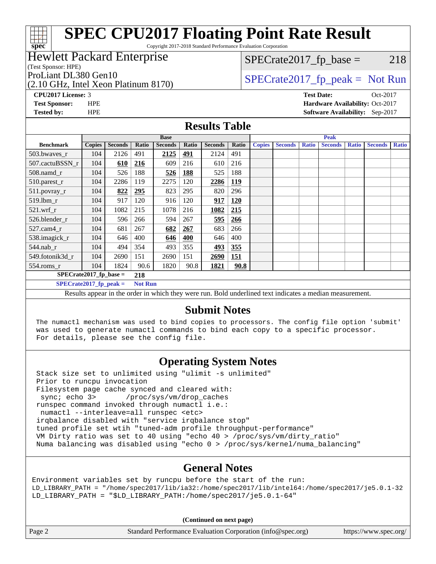# **[SPEC CPU2017 Floating Point Rate Result](http://www.spec.org/auto/cpu2017/Docs/result-fields.html#SPECCPU2017FloatingPointRateResult)**

Copyright 2017-2018 Standard Performance Evaluation Corporation

### Hewlett Packard Enterprise

(Test Sponsor: HPE)

**[spec](http://www.spec.org/)**

(2.10 GHz, Intel Xeon Platinum 8170)

 $SPECTate2017<sub>fr</sub> base = 218$ 

ProLiant DL380 Gen10  $SPECTR_{12}$  [SPECrate2017\\_fp\\_peak =](http://www.spec.org/auto/cpu2017/Docs/result-fields.html#SPECrate2017fppeak) Not Run

**[CPU2017 License:](http://www.spec.org/auto/cpu2017/Docs/result-fields.html#CPU2017License)** 3 **[Test Date:](http://www.spec.org/auto/cpu2017/Docs/result-fields.html#TestDate)** Oct-2017 **[Test Sponsor:](http://www.spec.org/auto/cpu2017/Docs/result-fields.html#TestSponsor)** HPE **[Hardware Availability:](http://www.spec.org/auto/cpu2017/Docs/result-fields.html#HardwareAvailability)** Oct-2017 **[Tested by:](http://www.spec.org/auto/cpu2017/Docs/result-fields.html#Testedby)** HPE **[Software Availability:](http://www.spec.org/auto/cpu2017/Docs/result-fields.html#SoftwareAvailability)** Sep-2017

#### **[Results Table](http://www.spec.org/auto/cpu2017/Docs/result-fields.html#ResultsTable)**

|                                                                                                        | <b>Base</b>   |                |       |                |            |                | <b>Peak</b> |               |                |              |                |              |                |              |
|--------------------------------------------------------------------------------------------------------|---------------|----------------|-------|----------------|------------|----------------|-------------|---------------|----------------|--------------|----------------|--------------|----------------|--------------|
| <b>Benchmark</b>                                                                                       | <b>Copies</b> | <b>Seconds</b> | Ratio | <b>Seconds</b> | Ratio      | <b>Seconds</b> | Ratio       | <b>Copies</b> | <b>Seconds</b> | <b>Ratio</b> | <b>Seconds</b> | <b>Ratio</b> | <b>Seconds</b> | <b>Ratio</b> |
| 503.bwaves_r                                                                                           | 104           | 2126           | 491   | 2125           | 491        | 2124           | 491         |               |                |              |                |              |                |              |
| 507.cactuBSSN r                                                                                        | 104           | 610            | 216   | 609            | 216        | 610            | 216         |               |                |              |                |              |                |              |
| 508.namd_r                                                                                             | 104           | 526            | 188   | 526            | <b>188</b> | 525            | 188         |               |                |              |                |              |                |              |
| 510.parest_r                                                                                           | 104           | 2286           | 119   | 2275           | 120        | 2286           | <u>119</u>  |               |                |              |                |              |                |              |
| 511.povray_r                                                                                           | 104           | 822            | 295   | 823            | 295        | 820            | 296         |               |                |              |                |              |                |              |
| 519.lbm_r                                                                                              | 104           | 917            | 120   | 916            | 120        | 917            | <b>120</b>  |               |                |              |                |              |                |              |
| $521$ .wrf r                                                                                           | 104           | 1082           | 215   | 1078           | 216        | 1082           | 215         |               |                |              |                |              |                |              |
| 526.blender r                                                                                          | 104           | 596            | 266   | 594            | 267        | 595            | 266         |               |                |              |                |              |                |              |
| 527.cam4_r                                                                                             | 104           | 681            | 267   | 682            | 267        | 683            | 266         |               |                |              |                |              |                |              |
| 538.imagick_r                                                                                          | 104           | 646            | 400   | 646            | 400        | 646            | 400         |               |                |              |                |              |                |              |
| $544$ .nab r                                                                                           | 104           | 494            | 354   | 493            | 355        | 493            | 355         |               |                |              |                |              |                |              |
| 549.fotonik3d r                                                                                        | 104           | 2690           | 151   | 2690           | 151        | 2690           | 151         |               |                |              |                |              |                |              |
| $554$ .roms_r                                                                                          | 104           | 1824           | 90.6  | 1820           | 90.8       | 1821           | 90.8        |               |                |              |                |              |                |              |
| $SPECrate2017_fp\_base =$<br>218                                                                       |               |                |       |                |            |                |             |               |                |              |                |              |                |              |
| $SPECrate2017$ fp peak =<br><b>Not Run</b>                                                             |               |                |       |                |            |                |             |               |                |              |                |              |                |              |
| Decute appear in the order in which they were run. Rold underlined text indicates a median measurement |               |                |       |                |            |                |             |               |                |              |                |              |                |              |

Results appear in the [order in which they were run.](http://www.spec.org/auto/cpu2017/Docs/result-fields.html#RunOrder) Bold underlined text [indicates a median measurement.](http://www.spec.org/auto/cpu2017/Docs/result-fields.html#Median)

### **[Submit Notes](http://www.spec.org/auto/cpu2017/Docs/result-fields.html#SubmitNotes)**

 The numactl mechanism was used to bind copies to processors. The config file option 'submit' was used to generate numactl commands to bind each copy to a specific processor. For details, please see the config file.

# **[Operating System Notes](http://www.spec.org/auto/cpu2017/Docs/result-fields.html#OperatingSystemNotes)**

 Stack size set to unlimited using "ulimit -s unlimited" Prior to runcpu invocation Filesystem page cache synced and cleared with: sync; echo 3> /proc/sys/vm/drop\_caches runspec command invoked through numactl i.e.: numactl --interleave=all runspec <etc> irqbalance disabled with "service irqbalance stop" tuned profile set wtih "tuned-adm profile throughput-performance" VM Dirty ratio was set to 40 using "echo 40 > /proc/sys/vm/dirty\_ratio" Numa balancing was disabled using "echo 0 > /proc/sys/kernel/numa\_balancing"

# **[General Notes](http://www.spec.org/auto/cpu2017/Docs/result-fields.html#GeneralNotes)**

Environment variables set by runcpu before the start of the run: LD\_LIBRARY\_PATH = "/home/spec2017/lib/ia32:/home/spec2017/lib/intel64:/home/spec2017/je5.0.1-32 LD\_LIBRARY\_PATH = "\$LD\_LIBRARY\_PATH:/home/spec2017/je5.0.1-64"

**(Continued on next page)**

| Page 2 | Standard Performance Evaluation Corporation (info@spec.org) | https://www.spec.org/ |
|--------|-------------------------------------------------------------|-----------------------|
|--------|-------------------------------------------------------------|-----------------------|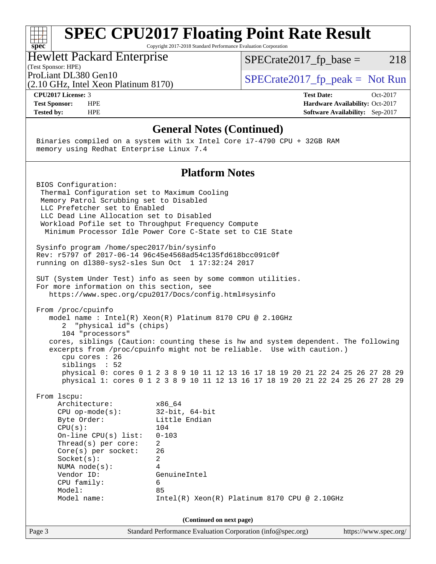#### **[SPEC CPU2017 Floating Point Rate Result](http://www.spec.org/auto/cpu2017/Docs/result-fields.html#SPECCPU2017FloatingPointRateResult)** a tim **[spec](http://www.spec.org/)** Copyright 2017-2018 Standard Performance Evaluation Corporation Hewlett Packard Enterprise  $SPECTate2017<sub>fr</sub> base = 218$ (Test Sponsor: HPE)

(2.10 GHz, Intel Xeon Platinum 8170) ProLiant DL380 Gen10<br>  $SPECTA = 10$  SPECrate 2017\_fp\_peak = Not Run

**[CPU2017 License:](http://www.spec.org/auto/cpu2017/Docs/result-fields.html#CPU2017License)** 3 **[Test Date:](http://www.spec.org/auto/cpu2017/Docs/result-fields.html#TestDate)** Oct-2017 **[Test Sponsor:](http://www.spec.org/auto/cpu2017/Docs/result-fields.html#TestSponsor)** HPE **[Hardware Availability:](http://www.spec.org/auto/cpu2017/Docs/result-fields.html#HardwareAvailability)** Oct-2017 **[Tested by:](http://www.spec.org/auto/cpu2017/Docs/result-fields.html#Testedby)** HPE **[Software Availability:](http://www.spec.org/auto/cpu2017/Docs/result-fields.html#SoftwareAvailability)** Sep-2017

#### **[General Notes \(Continued\)](http://www.spec.org/auto/cpu2017/Docs/result-fields.html#GeneralNotes)**

 Binaries compiled on a system with 1x Intel Core i7-4790 CPU + 32GB RAM memory using Redhat Enterprise Linux 7.4

#### **[Platform Notes](http://www.spec.org/auto/cpu2017/Docs/result-fields.html#PlatformNotes)**

 BIOS Configuration: Thermal Configuration set to Maximum Cooling Memory Patrol Scrubbing set to Disabled LLC Prefetcher set to Enabled LLC Dead Line Allocation set to Disabled Workload Pofile set to Throughput Frequency Compute Minimum Processor Idle Power Core C-State set to C1E State Sysinfo program /home/spec2017/bin/sysinfo Rev: r5797 of 2017-06-14 96c45e4568ad54c135fd618bcc091c0f running on dl380-sys2-sles Sun Oct 1 17:32:24 2017 SUT (System Under Test) info as seen by some common utilities. For more information on this section, see <https://www.spec.org/cpu2017/Docs/config.html#sysinfo> From /proc/cpuinfo model name : Intel(R) Xeon(R) Platinum 8170 CPU @ 2.10GHz 2 "physical id"s (chips) 104 "processors" cores, siblings (Caution: counting these is hw and system dependent. The following excerpts from /proc/cpuinfo might not be reliable. Use with caution.) cpu cores : 26 siblings : 52 physical 0: cores 0 1 2 3 8 9 10 11 12 13 16 17 18 19 20 21 22 24 25 26 27 28 29 physical 1: cores 0 1 2 3 8 9 10 11 12 13 16 17 18 19 20 21 22 24 25 26 27 28 29 From lscpu: Architecture: x86\_64 CPU op-mode(s): 32-bit, 64-bit Byte Order: Little Endian CPU(s): 104 On-line CPU(s) list: 0-103 Thread(s) per core: 2 Core(s) per socket: 26 Socket(s): 2 NUMA node(s): 4 Vendor ID: GenuineIntel CPU family: 6 Model: 85 Model name: Intel(R) Xeon(R) Platinum 8170 CPU @ 2.10GHz **(Continued on next page)**

Page 3 Standard Performance Evaluation Corporation [\(info@spec.org\)](mailto:info@spec.org) <https://www.spec.org/>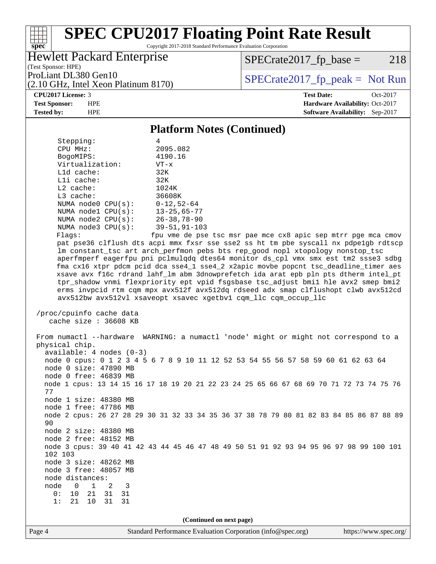### ti h **[spec](http://www.spec.org/)**

# **[SPEC CPU2017 Floating Point Rate Result](http://www.spec.org/auto/cpu2017/Docs/result-fields.html#SPECCPU2017FloatingPointRateResult)**

Copyright 2017-2018 Standard Performance Evaluation Corporation

#### Hewlett Packard Enterprise

(2.10 GHz, Intel Xeon Platinum 8170)

 $SPECTate2017<sub>fr</sub> base = 218$ 

(Test Sponsor: HPE)

ProLiant DL380 Gen10<br>  $SPECTate2017$  fp\_peak = Not Run

#### **[CPU2017 License:](http://www.spec.org/auto/cpu2017/Docs/result-fields.html#CPU2017License)** 3 **[Test Date:](http://www.spec.org/auto/cpu2017/Docs/result-fields.html#TestDate)** Oct-2017

**[Test Sponsor:](http://www.spec.org/auto/cpu2017/Docs/result-fields.html#TestSponsor)** HPE **[Hardware Availability:](http://www.spec.org/auto/cpu2017/Docs/result-fields.html#HardwareAvailability)** Oct-2017 **[Tested by:](http://www.spec.org/auto/cpu2017/Docs/result-fields.html#Testedby)** HPE **[Software Availability:](http://www.spec.org/auto/cpu2017/Docs/result-fields.html#SoftwareAvailability)** Sep-2017

#### **[Platform Notes \(Continued\)](http://www.spec.org/auto/cpu2017/Docs/result-fields.html#PlatformNotes)**

| Stepping:                        | 4                                                    |
|----------------------------------|------------------------------------------------------|
| CPU MHz:                         | 2095.082                                             |
| BogoMIPS:                        | 4190.16                                              |
| Virtualization:                  | $VT - x$                                             |
| $L1d$ cache:                     | 32K                                                  |
| $L1i$ cache:                     | 32K                                                  |
| $L2$ cache:                      | 1024K                                                |
| $L3$ cache:                      | 36608K                                               |
| NUMA node0 $CPU(s): 0-12, 52-64$ |                                                      |
| NUMA nodel $CPU(s):$ 13-25,65-77 |                                                      |
| NUMA node2 CPU(s): 26-38,78-90   |                                                      |
| NUMA node3 CPU(s): 39-51,91-103  |                                                      |
| Flaqs:                           | fpu vme de pse tsc msr pae mo                        |
|                                  | pat pse36 clflush dts acpi mmx fxsr sse sse2 ss ht   |
|                                  | Im constant tsc art arch perfmon pebs bts rep good   |
|                                  | aperfmperf eagerfpu pni pclmulgdg dtes64 monitor ds  |
|                                  | fma cx16 xtpr pdcm pcid dca sse4 1 sse4 2 x2apic mov |
|                                  | xsave avx f16c rdrand lahf 1m abm 3dnowprefetch ida  |

e cx8 apic sep mtrr pge mca cmov tm pbe syscall nx pdpe1gb rdtscp nopl xtopology nonstop\_tsc s\_cpl vmx smx est tm2 ssse3 sdbg rbe popcnt tsc\_deadline\_timer aes arat epb pln pts dtherm intel\_pt tpr\_shadow vnmi flexpriority ept vpid fsgsbase tsc\_adjust bmi1 hle avx2 smep bmi2 erms invpcid rtm cqm mpx avx512f avx512dq rdseed adx smap clflushopt clwb avx512cd avx512bw avx512vl xsaveopt xsavec xgetbv1 cqm\_llc cqm\_occup\_llc

```
 /proc/cpuinfo cache data
cache size : 36608 KB
```
 From numactl --hardware WARNING: a numactl 'node' might or might not correspond to a physical chip. available: 4 nodes (0-3) node 0 cpus: 0 1 2 3 4 5 6 7 8 9 10 11 12 52 53 54 55 56 57 58 59 60 61 62 63 64 node 0 size: 47890 MB node 0 free: 46839 MB node 1 cpus: 13 14 15 16 17 18 19 20 21 22 23 24 25 65 66 67 68 69 70 71 72 73 74 75 76 77 node 1 size: 48380 MB node 1 free: 47786 MB node 2 cpus: 26 27 28 29 30 31 32 33 34 35 36 37 38 78 79 80 81 82 83 84 85 86 87 88 89 90 node 2 size: 48380 MB node 2 free: 48152 MB node 3 cpus: 39 40 41 42 43 44 45 46 47 48 49 50 51 91 92 93 94 95 96 97 98 99 100 101 102 103 node 3 size: 48262 MB node 3 free: 48057 MB node distances: node 0 1 2 3 0: 10 21 31 31 1: 21 10 31 31

**(Continued on next page)**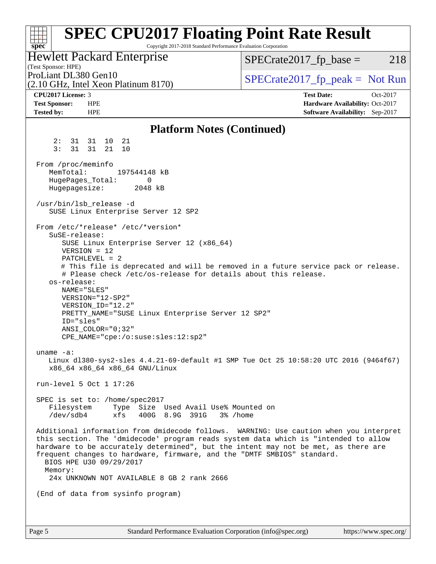#### **[spec](http://www.spec.org/) [SPEC CPU2017 Floating Point Rate Result](http://www.spec.org/auto/cpu2017/Docs/result-fields.html#SPECCPU2017FloatingPointRateResult)** Copyright 2017-2018 Standard Performance Evaluation Corporation (Test Sponsor: HPE) Hewlett Packard Enterprise (2.10 GHz, Intel Xeon Platinum 8170) ProLiant DL380 Gen10  $SPECTA = 2017$  SPECrate 2017\_fp\_peak = Not Run  $SPECTate2017<sub>fr</sub> base = 218$ **[CPU2017 License:](http://www.spec.org/auto/cpu2017/Docs/result-fields.html#CPU2017License)** 3 **[Test Date:](http://www.spec.org/auto/cpu2017/Docs/result-fields.html#TestDate)** Oct-2017 **[Test Sponsor:](http://www.spec.org/auto/cpu2017/Docs/result-fields.html#TestSponsor)** HPE **[Hardware Availability:](http://www.spec.org/auto/cpu2017/Docs/result-fields.html#HardwareAvailability)** Oct-2017 **[Tested by:](http://www.spec.org/auto/cpu2017/Docs/result-fields.html#Testedby)** HPE **[Software Availability:](http://www.spec.org/auto/cpu2017/Docs/result-fields.html#SoftwareAvailability)** Sep-2017 **[Platform Notes \(Continued\)](http://www.spec.org/auto/cpu2017/Docs/result-fields.html#PlatformNotes)** 2: 31 31 10 21 3: 31 31 21 10 From /proc/meminfo MemTotal: 197544148 kB HugePages\_Total: 0 Hugepagesize: 2048 kB /usr/bin/lsb\_release -d SUSE Linux Enterprise Server 12 SP2 From /etc/\*release\* /etc/\*version\* SuSE-release: SUSE Linux Enterprise Server 12 (x86\_64) VERSION = 12 PATCHLEVEL = 2 # This file is deprecated and will be removed in a future service pack or release. # Please check /etc/os-release for details about this release. os-release: NAME="SLES" VERSION="12-SP2" VERSION\_ID="12.2" PRETTY\_NAME="SUSE Linux Enterprise Server 12 SP2" ID="sles" ANSI\_COLOR="0;32" CPE\_NAME="cpe:/o:suse:sles:12:sp2" uname -a: Linux dl380-sys2-sles 4.4.21-69-default #1 SMP Tue Oct 25 10:58:20 UTC 2016 (9464f67) x86\_64 x86\_64 x86\_64 GNU/Linux run-level 5 Oct 1 17:26 SPEC is set to: /home/spec2017 Filesystem Type Size Used Avail Use% Mounted on /dev/sdb4 xfs 400G 8.9G 391G 3% /home Additional information from dmidecode follows. WARNING: Use caution when you interpret this section. The 'dmidecode' program reads system data which is "intended to allow hardware to be accurately determined", but the intent may not be met, as there are frequent changes to hardware, firmware, and the "DMTF SMBIOS" standard. BIOS HPE U30 09/29/2017 Memory: 24x UNKNOWN NOT AVAILABLE 8 GB 2 rank 2666 (End of data from sysinfo program)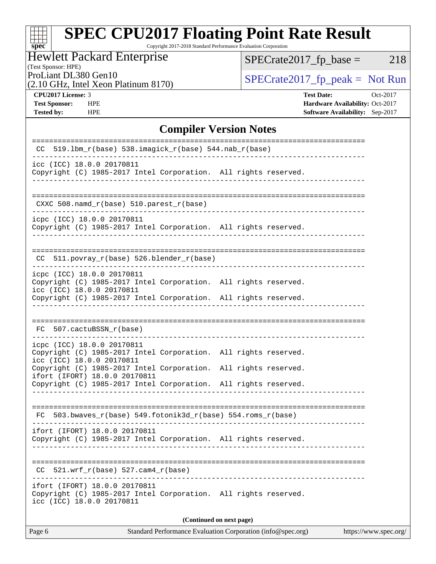# **[SPEC CPU2017 Floating Point Rate Result](http://www.spec.org/auto/cpu2017/Docs/result-fields.html#SPECCPU2017FloatingPointRateResult)** Copyright 2017-2018 Standard Performance Evaluation Corporation

Hewlett Packard Enterprise

 $SPECrate2017_fp\_base = 218$ 

# (Test Sponsor: HPE)

(2.10 GHz, Intel Xeon Platinum 8170)

ProLiant DL380 Gen10<br>  $(2.10 \text{ GHz} \text{ Intel } X_{\text{eon} \text{ Platinum}} 8170)$   $\left| \text{SPECrate} 2017 \text{ fp\_peak} = \text{Not Run} \right|$ 

**[spec](http://www.spec.org/)**

**[CPU2017 License:](http://www.spec.org/auto/cpu2017/Docs/result-fields.html#CPU2017License)** 3 **[Test Date:](http://www.spec.org/auto/cpu2017/Docs/result-fields.html#TestDate)** Oct-2017 **[Test Sponsor:](http://www.spec.org/auto/cpu2017/Docs/result-fields.html#TestSponsor)** HPE **[Hardware Availability:](http://www.spec.org/auto/cpu2017/Docs/result-fields.html#HardwareAvailability)** Oct-2017 **[Tested by:](http://www.spec.org/auto/cpu2017/Docs/result-fields.html#Testedby)** HPE **[Software Availability:](http://www.spec.org/auto/cpu2017/Docs/result-fields.html#SoftwareAvailability)** Sep-2017

## **[Compiler Version Notes](http://www.spec.org/auto/cpu2017/Docs/result-fields.html#CompilerVersionNotes)**

| $519.1$ bm_r(base) $538.imagick_r(base)$ $544.nab_r(base)$<br>CC                                                                                                    |  |  |  |  |  |  |  |  |
|---------------------------------------------------------------------------------------------------------------------------------------------------------------------|--|--|--|--|--|--|--|--|
| icc (ICC) 18.0.0 20170811<br>Copyright (C) 1985-2017 Intel Corporation. All rights reserved.                                                                        |  |  |  |  |  |  |  |  |
| CXXC 508.namd_r(base) 510.parest_r(base)                                                                                                                            |  |  |  |  |  |  |  |  |
| icpc (ICC) 18.0.0 20170811<br>Copyright (C) 1985-2017 Intel Corporation. All rights reserved.                                                                       |  |  |  |  |  |  |  |  |
| 511.povray_r(base) 526.blender_r(base)<br>CC.                                                                                                                       |  |  |  |  |  |  |  |  |
| icpc (ICC) 18.0.0 20170811<br>Copyright (C) 1985-2017 Intel Corporation. All rights reserved.<br>icc (ICC) 18.0.0 20170811                                          |  |  |  |  |  |  |  |  |
| Copyright (C) 1985-2017 Intel Corporation. All rights reserved.                                                                                                     |  |  |  |  |  |  |  |  |
| 507.cactuBSSN_r(base)<br>FC.                                                                                                                                        |  |  |  |  |  |  |  |  |
| icpc (ICC) 18.0.0 20170811<br>Copyright (C) 1985-2017 Intel Corporation. All rights reserved.<br>icc (ICC) 18.0.0 20170811                                          |  |  |  |  |  |  |  |  |
| Copyright (C) 1985-2017 Intel Corporation. All rights reserved.<br>ifort (IFORT) 18.0.0 20170811<br>Copyright (C) 1985-2017 Intel Corporation. All rights reserved. |  |  |  |  |  |  |  |  |
|                                                                                                                                                                     |  |  |  |  |  |  |  |  |
| $503.bwaves_r(base) 549.fotonik3d_r(base) 554.roms_r(base)$<br>FC.                                                                                                  |  |  |  |  |  |  |  |  |
| ifort (IFORT) 18.0.0 20170811<br>Copyright (C) 1985-2017 Intel Corporation. All rights reserved.                                                                    |  |  |  |  |  |  |  |  |
| $521.wrf_r(base) 527.cam4_r(base)$<br>CC.                                                                                                                           |  |  |  |  |  |  |  |  |
| ifort (IFORT) 18.0.0 20170811<br>Copyright (C) 1985-2017 Intel Corporation. All rights reserved.<br>icc (ICC) 18.0.0 20170811                                       |  |  |  |  |  |  |  |  |
| (Continued on next page)                                                                                                                                            |  |  |  |  |  |  |  |  |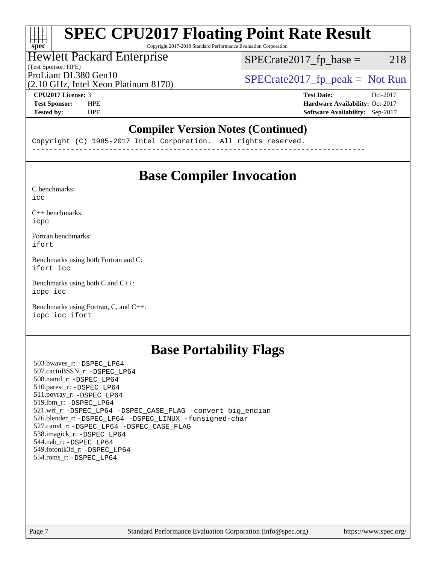# **[SPEC CPU2017 Floating Point Rate Result](http://www.spec.org/auto/cpu2017/Docs/result-fields.html#SPECCPU2017FloatingPointRateResult)**

Copyright 2017-2018 Standard Performance Evaluation Corporation

#### Hewlett Packard Enterprise

(Test Sponsor: HPE)

 $SPECTate2017<sub>fr</sub> base = 218$ 

(2.10 GHz, Intel Xeon Platinum 8170)

ProLiant DL380 Gen10<br>  $SPECTA = 10$  SPECrate 2017\_fp\_peak = Not Run

**[spec](http://www.spec.org/)**

 $\pm\pm\tau$ 

**[CPU2017 License:](http://www.spec.org/auto/cpu2017/Docs/result-fields.html#CPU2017License)** 3 **[Test Date:](http://www.spec.org/auto/cpu2017/Docs/result-fields.html#TestDate)** Oct-2017 **[Test Sponsor:](http://www.spec.org/auto/cpu2017/Docs/result-fields.html#TestSponsor)** HPE **[Hardware Availability:](http://www.spec.org/auto/cpu2017/Docs/result-fields.html#HardwareAvailability)** Oct-2017 **[Tested by:](http://www.spec.org/auto/cpu2017/Docs/result-fields.html#Testedby)** HPE **[Software Availability:](http://www.spec.org/auto/cpu2017/Docs/result-fields.html#SoftwareAvailability)** Sep-2017

## **[Compiler Version Notes \(Continued\)](http://www.spec.org/auto/cpu2017/Docs/result-fields.html#CompilerVersionNotes)**

Copyright (C) 1985-2017 Intel Corporation. All rights reserved. ------------------------------------------------------------------------------

# **[Base Compiler Invocation](http://www.spec.org/auto/cpu2017/Docs/result-fields.html#BaseCompilerInvocation)**

[C benchmarks](http://www.spec.org/auto/cpu2017/Docs/result-fields.html#Cbenchmarks): [icc](http://www.spec.org/cpu2017/results/res2017q4/cpu2017-20171003-00082.flags.html#user_CCbase_intel_icc_18.0_66fc1ee009f7361af1fbd72ca7dcefbb700085f36577c54f309893dd4ec40d12360134090235512931783d35fd58c0460139e722d5067c5574d8eaf2b3e37e92)

[C++ benchmarks:](http://www.spec.org/auto/cpu2017/Docs/result-fields.html#CXXbenchmarks) [icpc](http://www.spec.org/cpu2017/results/res2017q4/cpu2017-20171003-00082.flags.html#user_CXXbase_intel_icpc_18.0_c510b6838c7f56d33e37e94d029a35b4a7bccf4766a728ee175e80a419847e808290a9b78be685c44ab727ea267ec2f070ec5dc83b407c0218cded6866a35d07)

[Fortran benchmarks](http://www.spec.org/auto/cpu2017/Docs/result-fields.html#Fortranbenchmarks): [ifort](http://www.spec.org/cpu2017/results/res2017q4/cpu2017-20171003-00082.flags.html#user_FCbase_intel_ifort_18.0_8111460550e3ca792625aed983ce982f94888b8b503583aa7ba2b8303487b4d8a21a13e7191a45c5fd58ff318f48f9492884d4413fa793fd88dd292cad7027ca)

[Benchmarks using both Fortran and C](http://www.spec.org/auto/cpu2017/Docs/result-fields.html#BenchmarksusingbothFortranandC): [ifort](http://www.spec.org/cpu2017/results/res2017q4/cpu2017-20171003-00082.flags.html#user_CC_FCbase_intel_ifort_18.0_8111460550e3ca792625aed983ce982f94888b8b503583aa7ba2b8303487b4d8a21a13e7191a45c5fd58ff318f48f9492884d4413fa793fd88dd292cad7027ca) [icc](http://www.spec.org/cpu2017/results/res2017q4/cpu2017-20171003-00082.flags.html#user_CC_FCbase_intel_icc_18.0_66fc1ee009f7361af1fbd72ca7dcefbb700085f36577c54f309893dd4ec40d12360134090235512931783d35fd58c0460139e722d5067c5574d8eaf2b3e37e92)

[Benchmarks using both C and C++](http://www.spec.org/auto/cpu2017/Docs/result-fields.html#BenchmarksusingbothCandCXX): [icpc](http://www.spec.org/cpu2017/results/res2017q4/cpu2017-20171003-00082.flags.html#user_CC_CXXbase_intel_icpc_18.0_c510b6838c7f56d33e37e94d029a35b4a7bccf4766a728ee175e80a419847e808290a9b78be685c44ab727ea267ec2f070ec5dc83b407c0218cded6866a35d07) [icc](http://www.spec.org/cpu2017/results/res2017q4/cpu2017-20171003-00082.flags.html#user_CC_CXXbase_intel_icc_18.0_66fc1ee009f7361af1fbd72ca7dcefbb700085f36577c54f309893dd4ec40d12360134090235512931783d35fd58c0460139e722d5067c5574d8eaf2b3e37e92)

[Benchmarks using Fortran, C, and C++:](http://www.spec.org/auto/cpu2017/Docs/result-fields.html#BenchmarksusingFortranCandCXX) [icpc](http://www.spec.org/cpu2017/results/res2017q4/cpu2017-20171003-00082.flags.html#user_CC_CXX_FCbase_intel_icpc_18.0_c510b6838c7f56d33e37e94d029a35b4a7bccf4766a728ee175e80a419847e808290a9b78be685c44ab727ea267ec2f070ec5dc83b407c0218cded6866a35d07) [icc](http://www.spec.org/cpu2017/results/res2017q4/cpu2017-20171003-00082.flags.html#user_CC_CXX_FCbase_intel_icc_18.0_66fc1ee009f7361af1fbd72ca7dcefbb700085f36577c54f309893dd4ec40d12360134090235512931783d35fd58c0460139e722d5067c5574d8eaf2b3e37e92) [ifort](http://www.spec.org/cpu2017/results/res2017q4/cpu2017-20171003-00082.flags.html#user_CC_CXX_FCbase_intel_ifort_18.0_8111460550e3ca792625aed983ce982f94888b8b503583aa7ba2b8303487b4d8a21a13e7191a45c5fd58ff318f48f9492884d4413fa793fd88dd292cad7027ca)

# **[Base Portability Flags](http://www.spec.org/auto/cpu2017/Docs/result-fields.html#BasePortabilityFlags)**

 503.bwaves\_r: [-DSPEC\\_LP64](http://www.spec.org/cpu2017/results/res2017q4/cpu2017-20171003-00082.flags.html#suite_basePORTABILITY503_bwaves_r_DSPEC_LP64) 507.cactuBSSN\_r: [-DSPEC\\_LP64](http://www.spec.org/cpu2017/results/res2017q4/cpu2017-20171003-00082.flags.html#suite_basePORTABILITY507_cactuBSSN_r_DSPEC_LP64) 508.namd\_r: [-DSPEC\\_LP64](http://www.spec.org/cpu2017/results/res2017q4/cpu2017-20171003-00082.flags.html#suite_basePORTABILITY508_namd_r_DSPEC_LP64) 510.parest\_r: [-DSPEC\\_LP64](http://www.spec.org/cpu2017/results/res2017q4/cpu2017-20171003-00082.flags.html#suite_basePORTABILITY510_parest_r_DSPEC_LP64) 511.povray\_r: [-DSPEC\\_LP64](http://www.spec.org/cpu2017/results/res2017q4/cpu2017-20171003-00082.flags.html#suite_basePORTABILITY511_povray_r_DSPEC_LP64) 519.lbm\_r: [-DSPEC\\_LP64](http://www.spec.org/cpu2017/results/res2017q4/cpu2017-20171003-00082.flags.html#suite_basePORTABILITY519_lbm_r_DSPEC_LP64) 521.wrf\_r: [-DSPEC\\_LP64](http://www.spec.org/cpu2017/results/res2017q4/cpu2017-20171003-00082.flags.html#suite_basePORTABILITY521_wrf_r_DSPEC_LP64) [-DSPEC\\_CASE\\_FLAG](http://www.spec.org/cpu2017/results/res2017q4/cpu2017-20171003-00082.flags.html#b521.wrf_r_baseCPORTABILITY_DSPEC_CASE_FLAG) [-convert big\\_endian](http://www.spec.org/cpu2017/results/res2017q4/cpu2017-20171003-00082.flags.html#user_baseFPORTABILITY521_wrf_r_convert_big_endian_c3194028bc08c63ac5d04de18c48ce6d347e4e562e8892b8bdbdc0214820426deb8554edfa529a3fb25a586e65a3d812c835984020483e7e73212c4d31a38223) 526.blender\_r: [-DSPEC\\_LP64](http://www.spec.org/cpu2017/results/res2017q4/cpu2017-20171003-00082.flags.html#suite_basePORTABILITY526_blender_r_DSPEC_LP64) [-DSPEC\\_LINUX](http://www.spec.org/cpu2017/results/res2017q4/cpu2017-20171003-00082.flags.html#b526.blender_r_baseCPORTABILITY_DSPEC_LINUX) [-funsigned-char](http://www.spec.org/cpu2017/results/res2017q4/cpu2017-20171003-00082.flags.html#user_baseCPORTABILITY526_blender_r_force_uchar_40c60f00ab013830e2dd6774aeded3ff59883ba5a1fc5fc14077f794d777847726e2a5858cbc7672e36e1b067e7e5c1d9a74f7176df07886a243d7cc18edfe67) 527.cam4\_r: [-DSPEC\\_LP64](http://www.spec.org/cpu2017/results/res2017q4/cpu2017-20171003-00082.flags.html#suite_basePORTABILITY527_cam4_r_DSPEC_LP64) [-DSPEC\\_CASE\\_FLAG](http://www.spec.org/cpu2017/results/res2017q4/cpu2017-20171003-00082.flags.html#b527.cam4_r_baseCPORTABILITY_DSPEC_CASE_FLAG) 538.imagick\_r: [-DSPEC\\_LP64](http://www.spec.org/cpu2017/results/res2017q4/cpu2017-20171003-00082.flags.html#suite_basePORTABILITY538_imagick_r_DSPEC_LP64) 544.nab\_r: [-DSPEC\\_LP64](http://www.spec.org/cpu2017/results/res2017q4/cpu2017-20171003-00082.flags.html#suite_basePORTABILITY544_nab_r_DSPEC_LP64) 549.fotonik3d\_r: [-DSPEC\\_LP64](http://www.spec.org/cpu2017/results/res2017q4/cpu2017-20171003-00082.flags.html#suite_basePORTABILITY549_fotonik3d_r_DSPEC_LP64) 554.roms\_r: [-DSPEC\\_LP64](http://www.spec.org/cpu2017/results/res2017q4/cpu2017-20171003-00082.flags.html#suite_basePORTABILITY554_roms_r_DSPEC_LP64)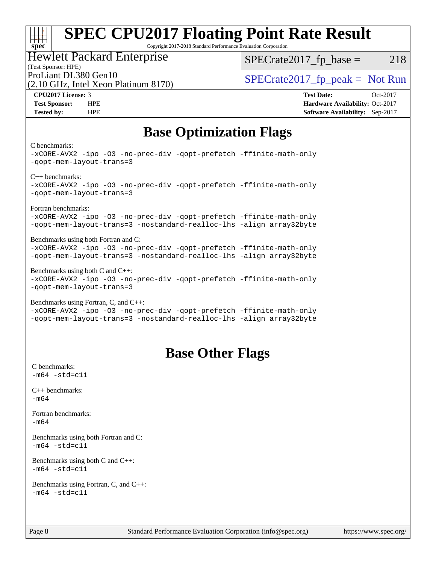## **[SPEC CPU2017 Floating Point Rate Result](http://www.spec.org/auto/cpu2017/Docs/result-fields.html#SPECCPU2017FloatingPointRateResult)** Copyright 2017-2018 Standard Performance Evaluation Corporation

# Hewlett Packard Enterprise

 $SPECTate2017<sub>fr</sub> base = 218$ 

# (Test Sponsor: HPE)

(2.10 GHz, Intel Xeon Platinum 8170)

ProLiant DL380 Gen10<br>  $SPECTate2017$  fp\_peak = Not Run

**[CPU2017 License:](http://www.spec.org/auto/cpu2017/Docs/result-fields.html#CPU2017License)** 3 **[Test Date:](http://www.spec.org/auto/cpu2017/Docs/result-fields.html#TestDate)** Oct-2017 **[Test Sponsor:](http://www.spec.org/auto/cpu2017/Docs/result-fields.html#TestSponsor)** HPE **[Hardware Availability:](http://www.spec.org/auto/cpu2017/Docs/result-fields.html#HardwareAvailability)** Oct-2017 **[Tested by:](http://www.spec.org/auto/cpu2017/Docs/result-fields.html#Testedby)** HPE **[Software Availability:](http://www.spec.org/auto/cpu2017/Docs/result-fields.html#SoftwareAvailability)** Sep-2017

# **[Base Optimization Flags](http://www.spec.org/auto/cpu2017/Docs/result-fields.html#BaseOptimizationFlags)**

#### [C benchmarks](http://www.spec.org/auto/cpu2017/Docs/result-fields.html#Cbenchmarks):

**[spec](http://www.spec.org/)**

 $\pm\pm\tau$ 

[-xCORE-AVX2](http://www.spec.org/cpu2017/results/res2017q4/cpu2017-20171003-00082.flags.html#user_CCbase_f-xCORE-AVX2) [-ipo](http://www.spec.org/cpu2017/results/res2017q4/cpu2017-20171003-00082.flags.html#user_CCbase_f-ipo) [-O3](http://www.spec.org/cpu2017/results/res2017q4/cpu2017-20171003-00082.flags.html#user_CCbase_f-O3) [-no-prec-div](http://www.spec.org/cpu2017/results/res2017q4/cpu2017-20171003-00082.flags.html#user_CCbase_f-no-prec-div) [-qopt-prefetch](http://www.spec.org/cpu2017/results/res2017q4/cpu2017-20171003-00082.flags.html#user_CCbase_f-qopt-prefetch) [-ffinite-math-only](http://www.spec.org/cpu2017/results/res2017q4/cpu2017-20171003-00082.flags.html#user_CCbase_f_finite_math_only_cb91587bd2077682c4b38af759c288ed7c732db004271a9512da14a4f8007909a5f1427ecbf1a0fb78ff2a814402c6114ac565ca162485bbcae155b5e4258871) [-qopt-mem-layout-trans=3](http://www.spec.org/cpu2017/results/res2017q4/cpu2017-20171003-00082.flags.html#user_CCbase_f-qopt-mem-layout-trans_de80db37974c74b1f0e20d883f0b675c88c3b01e9d123adea9b28688d64333345fb62bc4a798493513fdb68f60282f9a726aa07f478b2f7113531aecce732043) [C++ benchmarks](http://www.spec.org/auto/cpu2017/Docs/result-fields.html#CXXbenchmarks): [-xCORE-AVX2](http://www.spec.org/cpu2017/results/res2017q4/cpu2017-20171003-00082.flags.html#user_CXXbase_f-xCORE-AVX2) [-ipo](http://www.spec.org/cpu2017/results/res2017q4/cpu2017-20171003-00082.flags.html#user_CXXbase_f-ipo) [-O3](http://www.spec.org/cpu2017/results/res2017q4/cpu2017-20171003-00082.flags.html#user_CXXbase_f-O3) [-no-prec-div](http://www.spec.org/cpu2017/results/res2017q4/cpu2017-20171003-00082.flags.html#user_CXXbase_f-no-prec-div) [-qopt-prefetch](http://www.spec.org/cpu2017/results/res2017q4/cpu2017-20171003-00082.flags.html#user_CXXbase_f-qopt-prefetch) [-ffinite-math-only](http://www.spec.org/cpu2017/results/res2017q4/cpu2017-20171003-00082.flags.html#user_CXXbase_f_finite_math_only_cb91587bd2077682c4b38af759c288ed7c732db004271a9512da14a4f8007909a5f1427ecbf1a0fb78ff2a814402c6114ac565ca162485bbcae155b5e4258871) [-qopt-mem-layout-trans=3](http://www.spec.org/cpu2017/results/res2017q4/cpu2017-20171003-00082.flags.html#user_CXXbase_f-qopt-mem-layout-trans_de80db37974c74b1f0e20d883f0b675c88c3b01e9d123adea9b28688d64333345fb62bc4a798493513fdb68f60282f9a726aa07f478b2f7113531aecce732043) [Fortran benchmarks:](http://www.spec.org/auto/cpu2017/Docs/result-fields.html#Fortranbenchmarks) [-xCORE-AVX2](http://www.spec.org/cpu2017/results/res2017q4/cpu2017-20171003-00082.flags.html#user_FCbase_f-xCORE-AVX2) [-ipo](http://www.spec.org/cpu2017/results/res2017q4/cpu2017-20171003-00082.flags.html#user_FCbase_f-ipo) [-O3](http://www.spec.org/cpu2017/results/res2017q4/cpu2017-20171003-00082.flags.html#user_FCbase_f-O3) [-no-prec-div](http://www.spec.org/cpu2017/results/res2017q4/cpu2017-20171003-00082.flags.html#user_FCbase_f-no-prec-div) [-qopt-prefetch](http://www.spec.org/cpu2017/results/res2017q4/cpu2017-20171003-00082.flags.html#user_FCbase_f-qopt-prefetch) [-ffinite-math-only](http://www.spec.org/cpu2017/results/res2017q4/cpu2017-20171003-00082.flags.html#user_FCbase_f_finite_math_only_cb91587bd2077682c4b38af759c288ed7c732db004271a9512da14a4f8007909a5f1427ecbf1a0fb78ff2a814402c6114ac565ca162485bbcae155b5e4258871) [-qopt-mem-layout-trans=3](http://www.spec.org/cpu2017/results/res2017q4/cpu2017-20171003-00082.flags.html#user_FCbase_f-qopt-mem-layout-trans_de80db37974c74b1f0e20d883f0b675c88c3b01e9d123adea9b28688d64333345fb62bc4a798493513fdb68f60282f9a726aa07f478b2f7113531aecce732043) [-nostandard-realloc-lhs](http://www.spec.org/cpu2017/results/res2017q4/cpu2017-20171003-00082.flags.html#user_FCbase_f_2003_std_realloc_82b4557e90729c0f113870c07e44d33d6f5a304b4f63d4c15d2d0f1fab99f5daaed73bdb9275d9ae411527f28b936061aa8b9c8f2d63842963b95c9dd6426b8a) [-align array32byte](http://www.spec.org/cpu2017/results/res2017q4/cpu2017-20171003-00082.flags.html#user_FCbase_align_array32byte_b982fe038af199962ba9a80c053b8342c548c85b40b8e86eb3cc33dee0d7986a4af373ac2d51c3f7cf710a18d62fdce2948f201cd044323541f22fc0fffc51b6) [Benchmarks using both Fortran and C](http://www.spec.org/auto/cpu2017/Docs/result-fields.html#BenchmarksusingbothFortranandC): [-xCORE-AVX2](http://www.spec.org/cpu2017/results/res2017q4/cpu2017-20171003-00082.flags.html#user_CC_FCbase_f-xCORE-AVX2) [-ipo](http://www.spec.org/cpu2017/results/res2017q4/cpu2017-20171003-00082.flags.html#user_CC_FCbase_f-ipo) [-O3](http://www.spec.org/cpu2017/results/res2017q4/cpu2017-20171003-00082.flags.html#user_CC_FCbase_f-O3) [-no-prec-div](http://www.spec.org/cpu2017/results/res2017q4/cpu2017-20171003-00082.flags.html#user_CC_FCbase_f-no-prec-div) [-qopt-prefetch](http://www.spec.org/cpu2017/results/res2017q4/cpu2017-20171003-00082.flags.html#user_CC_FCbase_f-qopt-prefetch) [-ffinite-math-only](http://www.spec.org/cpu2017/results/res2017q4/cpu2017-20171003-00082.flags.html#user_CC_FCbase_f_finite_math_only_cb91587bd2077682c4b38af759c288ed7c732db004271a9512da14a4f8007909a5f1427ecbf1a0fb78ff2a814402c6114ac565ca162485bbcae155b5e4258871) [-qopt-mem-layout-trans=3](http://www.spec.org/cpu2017/results/res2017q4/cpu2017-20171003-00082.flags.html#user_CC_FCbase_f-qopt-mem-layout-trans_de80db37974c74b1f0e20d883f0b675c88c3b01e9d123adea9b28688d64333345fb62bc4a798493513fdb68f60282f9a726aa07f478b2f7113531aecce732043) [-nostandard-realloc-lhs](http://www.spec.org/cpu2017/results/res2017q4/cpu2017-20171003-00082.flags.html#user_CC_FCbase_f_2003_std_realloc_82b4557e90729c0f113870c07e44d33d6f5a304b4f63d4c15d2d0f1fab99f5daaed73bdb9275d9ae411527f28b936061aa8b9c8f2d63842963b95c9dd6426b8a) [-align array32byte](http://www.spec.org/cpu2017/results/res2017q4/cpu2017-20171003-00082.flags.html#user_CC_FCbase_align_array32byte_b982fe038af199962ba9a80c053b8342c548c85b40b8e86eb3cc33dee0d7986a4af373ac2d51c3f7cf710a18d62fdce2948f201cd044323541f22fc0fffc51b6) [Benchmarks using both C and C++:](http://www.spec.org/auto/cpu2017/Docs/result-fields.html#BenchmarksusingbothCandCXX) [-xCORE-AVX2](http://www.spec.org/cpu2017/results/res2017q4/cpu2017-20171003-00082.flags.html#user_CC_CXXbase_f-xCORE-AVX2) [-ipo](http://www.spec.org/cpu2017/results/res2017q4/cpu2017-20171003-00082.flags.html#user_CC_CXXbase_f-ipo) [-O3](http://www.spec.org/cpu2017/results/res2017q4/cpu2017-20171003-00082.flags.html#user_CC_CXXbase_f-O3) [-no-prec-div](http://www.spec.org/cpu2017/results/res2017q4/cpu2017-20171003-00082.flags.html#user_CC_CXXbase_f-no-prec-div) [-qopt-prefetch](http://www.spec.org/cpu2017/results/res2017q4/cpu2017-20171003-00082.flags.html#user_CC_CXXbase_f-qopt-prefetch) [-ffinite-math-only](http://www.spec.org/cpu2017/results/res2017q4/cpu2017-20171003-00082.flags.html#user_CC_CXXbase_f_finite_math_only_cb91587bd2077682c4b38af759c288ed7c732db004271a9512da14a4f8007909a5f1427ecbf1a0fb78ff2a814402c6114ac565ca162485bbcae155b5e4258871) [-qopt-mem-layout-trans=3](http://www.spec.org/cpu2017/results/res2017q4/cpu2017-20171003-00082.flags.html#user_CC_CXXbase_f-qopt-mem-layout-trans_de80db37974c74b1f0e20d883f0b675c88c3b01e9d123adea9b28688d64333345fb62bc4a798493513fdb68f60282f9a726aa07f478b2f7113531aecce732043) [Benchmarks using Fortran, C, and C++](http://www.spec.org/auto/cpu2017/Docs/result-fields.html#BenchmarksusingFortranCandCXX): [-xCORE-AVX2](http://www.spec.org/cpu2017/results/res2017q4/cpu2017-20171003-00082.flags.html#user_CC_CXX_FCbase_f-xCORE-AVX2) [-ipo](http://www.spec.org/cpu2017/results/res2017q4/cpu2017-20171003-00082.flags.html#user_CC_CXX_FCbase_f-ipo) [-O3](http://www.spec.org/cpu2017/results/res2017q4/cpu2017-20171003-00082.flags.html#user_CC_CXX_FCbase_f-O3) [-no-prec-div](http://www.spec.org/cpu2017/results/res2017q4/cpu2017-20171003-00082.flags.html#user_CC_CXX_FCbase_f-no-prec-div) [-qopt-prefetch](http://www.spec.org/cpu2017/results/res2017q4/cpu2017-20171003-00082.flags.html#user_CC_CXX_FCbase_f-qopt-prefetch) [-ffinite-math-only](http://www.spec.org/cpu2017/results/res2017q4/cpu2017-20171003-00082.flags.html#user_CC_CXX_FCbase_f_finite_math_only_cb91587bd2077682c4b38af759c288ed7c732db004271a9512da14a4f8007909a5f1427ecbf1a0fb78ff2a814402c6114ac565ca162485bbcae155b5e4258871)

[-qopt-mem-layout-trans=3](http://www.spec.org/cpu2017/results/res2017q4/cpu2017-20171003-00082.flags.html#user_CC_CXX_FCbase_f-qopt-mem-layout-trans_de80db37974c74b1f0e20d883f0b675c88c3b01e9d123adea9b28688d64333345fb62bc4a798493513fdb68f60282f9a726aa07f478b2f7113531aecce732043) [-nostandard-realloc-lhs](http://www.spec.org/cpu2017/results/res2017q4/cpu2017-20171003-00082.flags.html#user_CC_CXX_FCbase_f_2003_std_realloc_82b4557e90729c0f113870c07e44d33d6f5a304b4f63d4c15d2d0f1fab99f5daaed73bdb9275d9ae411527f28b936061aa8b9c8f2d63842963b95c9dd6426b8a) [-align array32byte](http://www.spec.org/cpu2017/results/res2017q4/cpu2017-20171003-00082.flags.html#user_CC_CXX_FCbase_align_array32byte_b982fe038af199962ba9a80c053b8342c548c85b40b8e86eb3cc33dee0d7986a4af373ac2d51c3f7cf710a18d62fdce2948f201cd044323541f22fc0fffc51b6)

# **[Base Other Flags](http://www.spec.org/auto/cpu2017/Docs/result-fields.html#BaseOtherFlags)**

[C benchmarks](http://www.spec.org/auto/cpu2017/Docs/result-fields.html#Cbenchmarks):  $-m64 - std = c11$  $-m64 - std = c11$ [C++ benchmarks:](http://www.spec.org/auto/cpu2017/Docs/result-fields.html#CXXbenchmarks) [-m64](http://www.spec.org/cpu2017/results/res2017q4/cpu2017-20171003-00082.flags.html#user_CXXbase_intel_intel64_18.0_af43caccfc8ded86e7699f2159af6efc7655f51387b94da716254467f3c01020a5059329e2569e4053f409e7c9202a7efc638f7a6d1ffb3f52dea4a3e31d82ab) [Fortran benchmarks](http://www.spec.org/auto/cpu2017/Docs/result-fields.html#Fortranbenchmarks): [-m64](http://www.spec.org/cpu2017/results/res2017q4/cpu2017-20171003-00082.flags.html#user_FCbase_intel_intel64_18.0_af43caccfc8ded86e7699f2159af6efc7655f51387b94da716254467f3c01020a5059329e2569e4053f409e7c9202a7efc638f7a6d1ffb3f52dea4a3e31d82ab) [Benchmarks using both Fortran and C](http://www.spec.org/auto/cpu2017/Docs/result-fields.html#BenchmarksusingbothFortranandC):  $-m64$   $-std=cl1$ [Benchmarks using both C and C++](http://www.spec.org/auto/cpu2017/Docs/result-fields.html#BenchmarksusingbothCandCXX):  $-m64 - std= c11$  $-m64 - std= c11$ [Benchmarks using Fortran, C, and C++:](http://www.spec.org/auto/cpu2017/Docs/result-fields.html#BenchmarksusingFortranCandCXX)  $-m64 - std = c11$  $-m64 - std = c11$